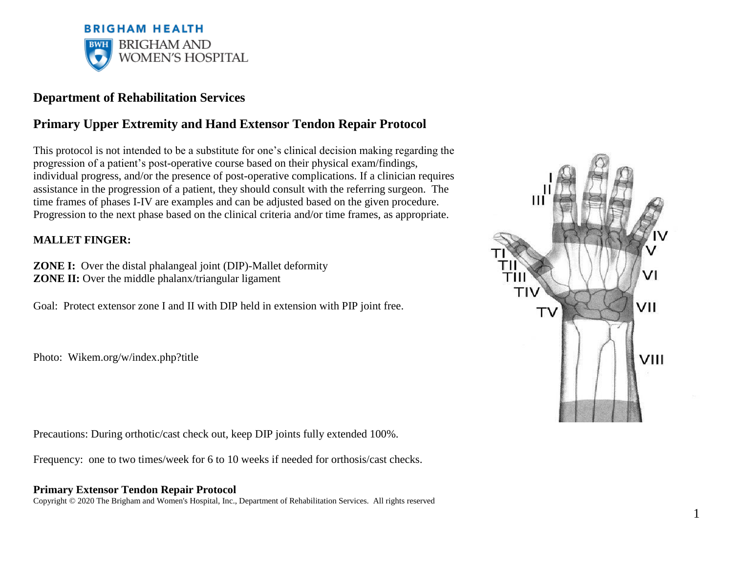

# **Department of Rehabilitation Services**

# **Primary Upper Extremity and Hand Extensor Tendon Repair Protocol**

This protocol is not intended to be a substitute for one's clinical decision making regarding the progression of a patient's post-operative course based on their physical exam/findings, individual progress, and/or the presence of post-operative complications. If a clinician requires assistance in the progression of a patient, they should consult with the referring surgeon. The time frames of phases I-IV are examples and can be adjusted based on the given procedure. Progression to the next phase based on the clinical criteria and/or time frames, as appropriate.

## **MALLET FINGER:**

**ZONE I:** Over the distal phalangeal joint (DIP)-Mallet deformity **ZONE II:** Over the middle phalanx/triangular ligament

Goal: Protect extensor zone I and II with DIP held in extension with PIP joint free.

Photo: Wikem.org/w/index.php?title

Precautions: During orthotic/cast check out, keep DIP joints fully extended 100%.

Frequency: one to two times/week for 6 to 10 weeks if needed for orthosis/cast checks.

## **Primary Extensor Tendon Repair Protocol**

Copyright © 2020 The Brigham and Women's Hospital, Inc., Department of Rehabilitation Services. All rights reserved



1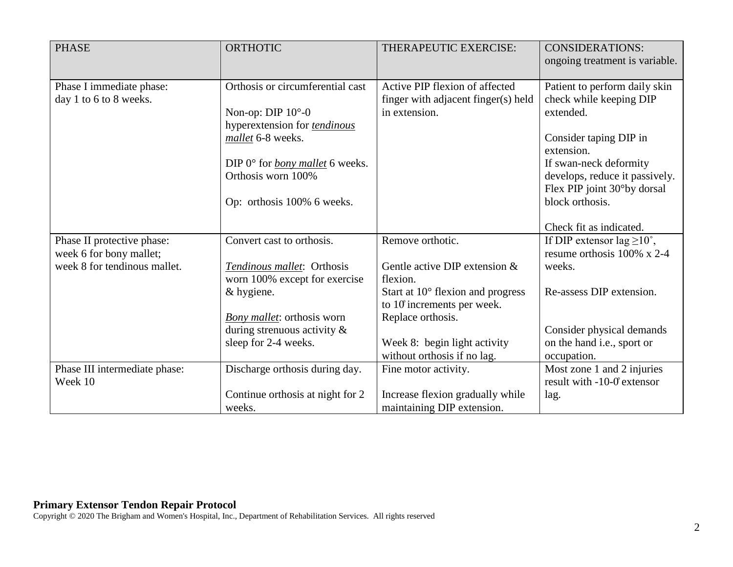| <b>PHASE</b>                                       | <b>ORTHOTIC</b>                                                                                                                                                                                                             | THERAPEUTIC EXERCISE:                                                                  | <b>CONSIDERATIONS:</b><br>ongoing treatment is variable.                                                                                                                                                                    |
|----------------------------------------------------|-----------------------------------------------------------------------------------------------------------------------------------------------------------------------------------------------------------------------------|----------------------------------------------------------------------------------------|-----------------------------------------------------------------------------------------------------------------------------------------------------------------------------------------------------------------------------|
| Phase I immediate phase:<br>day 1 to 6 to 8 weeks. | Orthosis or circumferential cast<br>Non-op: DIP $10^{\circ}$ -0<br>hyperextension for tendinous<br>mallet 6-8 weeks.<br>DIP $0^{\circ}$ for <i>bony mallet</i> 6 weeks.<br>Orthosis worn 100%<br>Op: orthosis 100% 6 weeks. | Active PIP flexion of affected<br>finger with adjacent finger(s) held<br>in extension. | Patient to perform daily skin<br>check while keeping DIP<br>extended.<br>Consider taping DIP in<br>extension.<br>If swan-neck deformity<br>develops, reduce it passively.<br>Flex PIP joint 30°by dorsal<br>block orthosis. |
| Phase II protective phase:                         | Convert cast to orthosis.                                                                                                                                                                                                   | Remove orthotic.                                                                       | Check fit as indicated.<br>If DIP extensor lag $\geq 10^{\circ}$ ,                                                                                                                                                          |
| week 6 for bony mallet;                            |                                                                                                                                                                                                                             |                                                                                        | resume orthosis $100\%$ x 2-4                                                                                                                                                                                               |
| week 8 for tendinous mallet.                       | Tendinous mallet: Orthosis                                                                                                                                                                                                  | Gentle active DIP extension &                                                          | weeks.                                                                                                                                                                                                                      |
|                                                    | worn 100% except for exercise                                                                                                                                                                                               | flexion.                                                                               |                                                                                                                                                                                                                             |
|                                                    | & hygiene.                                                                                                                                                                                                                  | Start at $10^{\circ}$ flexion and progress<br>to $10$ increments per week.             | Re-assess DIP extension.                                                                                                                                                                                                    |
|                                                    | <b>Bony</b> mallet: orthosis worn                                                                                                                                                                                           | Replace orthosis.                                                                      |                                                                                                                                                                                                                             |
|                                                    | during strenuous activity $\&$                                                                                                                                                                                              |                                                                                        | Consider physical demands                                                                                                                                                                                                   |
|                                                    | sleep for 2-4 weeks.                                                                                                                                                                                                        | Week 8: begin light activity<br>without orthosis if no lag.                            | on the hand i.e., sport or<br>occupation.                                                                                                                                                                                   |
| Phase III intermediate phase:                      | Discharge orthosis during day.                                                                                                                                                                                              | Fine motor activity.                                                                   | Most zone 1 and 2 injuries                                                                                                                                                                                                  |
| Week 10                                            |                                                                                                                                                                                                                             |                                                                                        | result with $-10-0$ extensor                                                                                                                                                                                                |
|                                                    | Continue orthosis at night for 2                                                                                                                                                                                            | Increase flexion gradually while                                                       | lag.                                                                                                                                                                                                                        |
|                                                    | weeks.                                                                                                                                                                                                                      | maintaining DIP extension.                                                             |                                                                                                                                                                                                                             |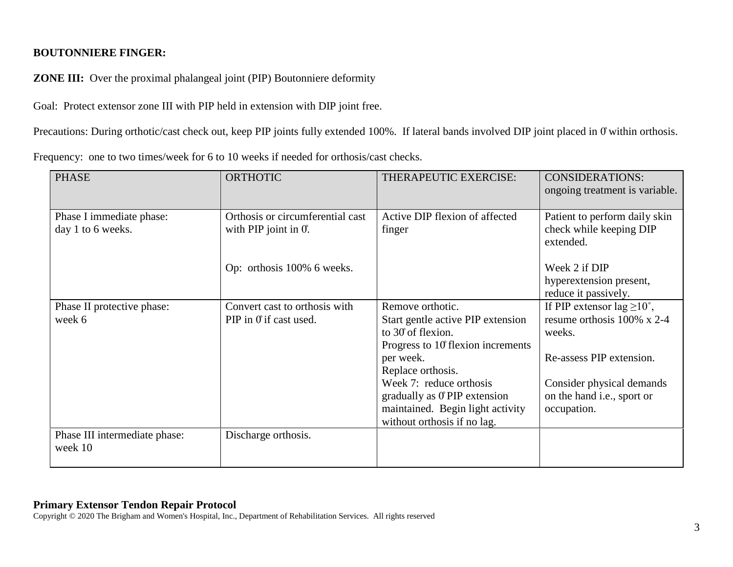## **BOUTONNIERE FINGER:**

**ZONE III:** Over the proximal phalangeal joint (PIP) Boutonniere deformity

Goal: Protect extensor zone III with PIP held in extension with DIP joint free.

Precautions: During orthotic/cast check out, keep PIP joints fully extended 100%. If lateral bands involved DIP joint placed in 0 within orthosis.

| Frequency: one to two times/week for 6 to 10 weeks if needed for orthosis/cast checks. |  |
|----------------------------------------------------------------------------------------|--|
|----------------------------------------------------------------------------------------|--|

| <b>PHASE</b>                                  | <b>ORTHOTIC</b>                                             | THERAPEUTIC EXERCISE:                                                                                                                                                                                                                                                           | <b>CONSIDERATIONS:</b><br>ongoing treatment is variable.                                                                                                                                 |
|-----------------------------------------------|-------------------------------------------------------------|---------------------------------------------------------------------------------------------------------------------------------------------------------------------------------------------------------------------------------------------------------------------------------|------------------------------------------------------------------------------------------------------------------------------------------------------------------------------------------|
| Phase I immediate phase:<br>day 1 to 6 weeks. | Orthosis or circumferential cast<br>with PIP joint in $0$ . | Active DIP flexion of affected<br>finger                                                                                                                                                                                                                                        | Patient to perform daily skin<br>check while keeping DIP<br>extended.                                                                                                                    |
|                                               | Op: orthosis 100% 6 weeks.                                  |                                                                                                                                                                                                                                                                                 | Week 2 if DIP<br>hyperextension present,<br>reduce it passively.                                                                                                                         |
| Phase II protective phase:<br>week 6          | Convert cast to orthosis with<br>PIP in 0 if cast used.     | Remove orthotic.<br>Start gentle active PIP extension<br>to 30 of flexion.<br>Progress to 10 flexion increments<br>per week.<br>Replace orthosis.<br>Week 7: reduce orthosis<br>gradually as 0°PIP extension<br>maintained. Begin light activity<br>without orthosis if no lag. | If PIP extensor lag $\geq 10^{\circ}$ ,<br>resume orthosis $100\%$ x 2-4<br>weeks.<br>Re-assess PIP extension.<br>Consider physical demands<br>on the hand i.e., sport or<br>occupation. |
| Phase III intermediate phase:<br>week 10      | Discharge orthosis.                                         |                                                                                                                                                                                                                                                                                 |                                                                                                                                                                                          |

#### **Primary Extensor Tendon Repair Protocol**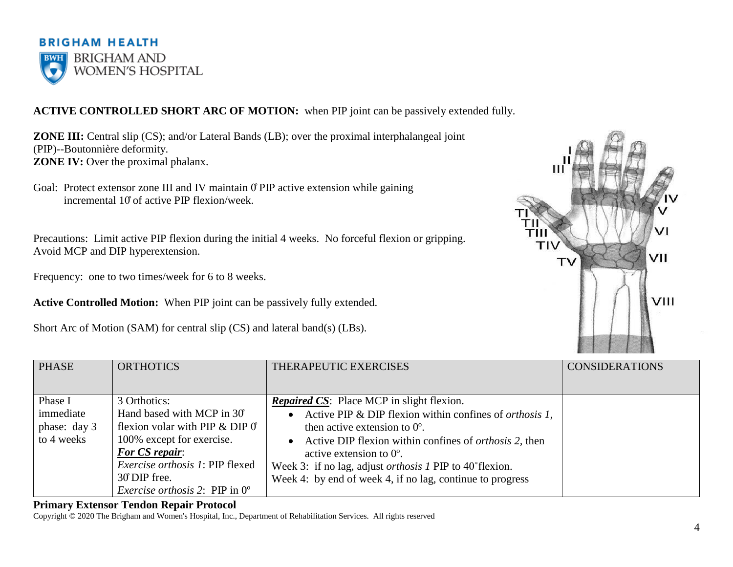

# **ACTIVE CONTROLLED SHORT ARC OF MOTION:** when PIP joint can be passively extended fully.

**ZONE III:** Central slip (CS); and/or Lateral Bands (LB); over the proximal interphalangeal joint (PIP)--Boutonnière deformity. **ZONE IV:** Over the proximal phalanx.

Goal: Protect extensor zone III and IV maintain  $\theta$  PIP active extension while gaining incremental 10̊of active PIP flexion/week.

Precautions: Limit active PIP flexion during the initial 4 weeks. No forceful flexion or gripping. Avoid MCP and DIP hyperextension.

Frequency: one to two times/week for 6 to 8 weeks.

**Active Controlled Motion:** When PIP joint can be passively fully extended.

Short Arc of Motion (SAM) for central slip (CS) and lateral band(s) (LBs).



| <b>PHASE</b> | <b>ORTHOTICS</b>                                | THERAPEUTIC EXERCISES                                                        | <b>CONSIDERATIONS</b> |
|--------------|-------------------------------------------------|------------------------------------------------------------------------------|-----------------------|
|              |                                                 |                                                                              |                       |
| Phase I      | 3 Orthotics:                                    | <b>Repaired CS:</b> Place MCP in slight flexion.                             |                       |
| immediate    | Hand based with MCP in 30°                      | Active PIP & DIP flexion within confines of <i>orthosis 1</i> ,<br>$\bullet$ |                       |
| phase: day 3 | flexion volar with PIP $&$ DIP $\theta$         | then active extension to $0^\circ$ .                                         |                       |
| to 4 weeks   | 100% except for exercise.                       | Active DIP flexion within confines of <i>orthosis</i> 2, then<br>$\bullet$   |                       |
|              | <b>For CS repair:</b>                           | active extension to $0^{\circ}$ .                                            |                       |
|              | Exercise orthosis 1: PIP flexed                 | Week 3: if no lag, adjust <i>orthosis 1</i> PIP to 40° flexion.              |                       |
|              | 30 DIP free.                                    | Week 4: by end of week 4, if no lag, continue to progress                    |                       |
|              | <i>Exercise orthosis 2</i> : PIP in $0^{\circ}$ |                                                                              |                       |

#### **Primary Extensor Tendon Repair Protocol**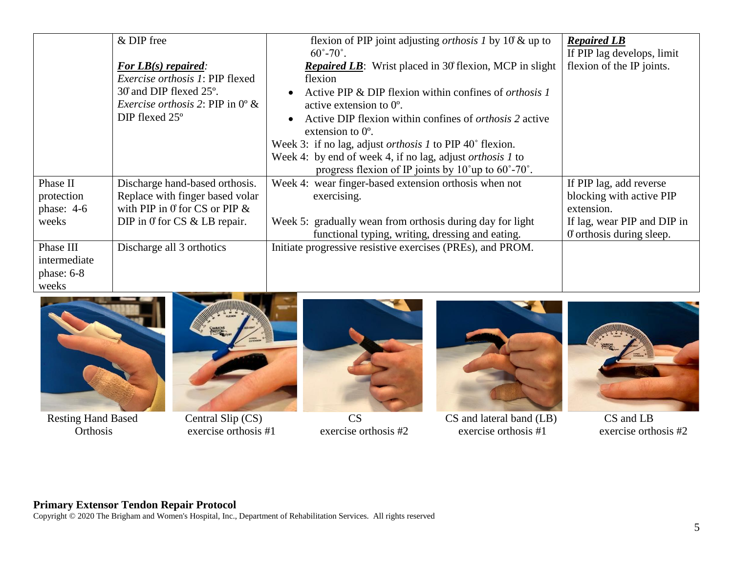|              | & DIP free<br>For $LB(s)$ repaired:<br><i>Exercise orthosis 1: PIP flexed</i><br>30 and DIP flexed 25°.<br><i>Exercise orthosis</i> 2: PIP in $0^{\circ}$ &<br>$DIP$ flexed $25^{\circ}$ | flexion of PIP joint adjusting <i>orthosis 1</i> by $10 \&$ up to<br>$60^{\circ} - 70^{\circ}$ .<br><b>Repaired LB</b> : Wrist placed in 30 flexion, MCP in slight<br>flexion<br>Active PIP & DIP flexion within confines of <i>orthosis 1</i><br>active extension to $0^\circ$ .<br>Active DIP flexion within confines of <i>orthosis</i> 2 active<br>extension to $0^\circ$ .<br>Week 3: if no lag, adjust <i>orthosis 1</i> to PIP 40° flexion.<br>Week 4: by end of week 4, if no lag, adjust <i>orthosis 1</i> to<br>progress flexion of IP joints by $10^{\circ}$ up to $60^{\circ}$ -70°. | <b>Repaired LB</b><br>If PIP lag develops, limit<br>flexion of the IP joints. |
|--------------|------------------------------------------------------------------------------------------------------------------------------------------------------------------------------------------|--------------------------------------------------------------------------------------------------------------------------------------------------------------------------------------------------------------------------------------------------------------------------------------------------------------------------------------------------------------------------------------------------------------------------------------------------------------------------------------------------------------------------------------------------------------------------------------------------|-------------------------------------------------------------------------------|
| Phase II     | Discharge hand-based orthosis.                                                                                                                                                           | Week 4: wear finger-based extension orthosis when not                                                                                                                                                                                                                                                                                                                                                                                                                                                                                                                                            | If PIP lag, add reverse                                                       |
| protection   | Replace with finger based volar                                                                                                                                                          | exercising.                                                                                                                                                                                                                                                                                                                                                                                                                                                                                                                                                                                      | blocking with active PIP                                                      |
| phase: $4-6$ | with PIP in 0 for CS or PIP $\&$                                                                                                                                                         |                                                                                                                                                                                                                                                                                                                                                                                                                                                                                                                                                                                                  | extension.                                                                    |
| weeks        | DIP in 0 for $CS \& LB$ repair.                                                                                                                                                          | Week 5: gradually wean from orthosis during day for light                                                                                                                                                                                                                                                                                                                                                                                                                                                                                                                                        | If lag, wear PIP and DIP in                                                   |
|              |                                                                                                                                                                                          | functional typing, writing, dressing and eating.                                                                                                                                                                                                                                                                                                                                                                                                                                                                                                                                                 | 0 orthosis during sleep.                                                      |
| Phase III    | Discharge all 3 orthotics                                                                                                                                                                | Initiate progressive resistive exercises (PREs), and PROM.                                                                                                                                                                                                                                                                                                                                                                                                                                                                                                                                       |                                                                               |
| intermediate |                                                                                                                                                                                          |                                                                                                                                                                                                                                                                                                                                                                                                                                                                                                                                                                                                  |                                                                               |
| phase: $6-8$ |                                                                                                                                                                                          |                                                                                                                                                                                                                                                                                                                                                                                                                                                                                                                                                                                                  |                                                                               |
| weeks        |                                                                                                                                                                                          |                                                                                                                                                                                                                                                                                                                                                                                                                                                                                                                                                                                                  |                                                                               |



Resting Hand Based<br>Orthosis







Central Slip (CS) CS<br>
exercise orthosis #1 CS and lateral band (LB) CS and LB<br>
exercise orthosis #2 exercise orthosis #2

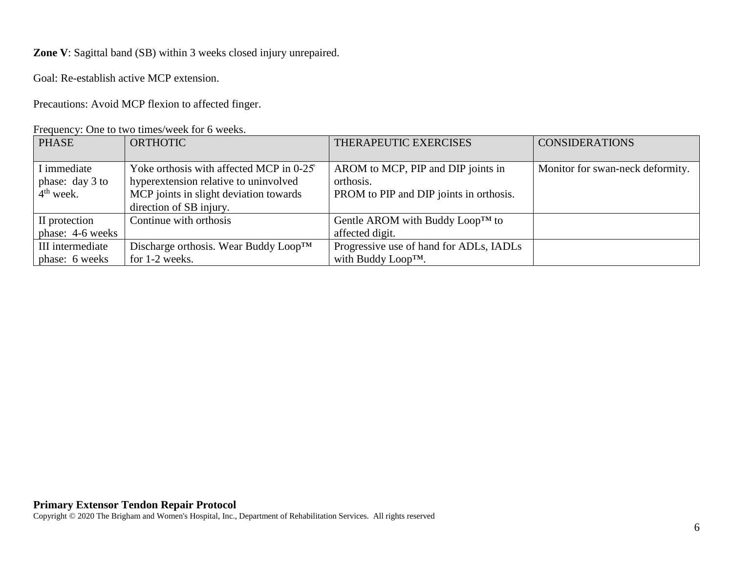**Zone V**: Sagittal band (SB) within 3 weeks closed injury unrepaired.

Goal: Re-establish active MCP extension.

Precautions: Avoid MCP flexion to affected finger.

|  |  | Frequency: One to two times/week for 6 weeks. |  |  |
|--|--|-----------------------------------------------|--|--|
|--|--|-----------------------------------------------|--|--|

| <b>PHASE</b>     | <b>ORTHOTIC</b>                                   | THERAPEUTIC EXERCISES                        | <b>CONSIDERATIONS</b>            |
|------------------|---------------------------------------------------|----------------------------------------------|----------------------------------|
|                  |                                                   |                                              |                                  |
| I immediate      | Yoke orthosis with affected MCP in 0-25°          | AROM to MCP, PIP and DIP joints in           | Monitor for swan-neck deformity. |
| phase: day 3 to  | hyperextension relative to uninvolved             | orthosis.                                    |                                  |
| $4th$ week.      | MCP joints in slight deviation towards            | PROM to PIP and DIP joints in orthosis.      |                                  |
|                  | direction of SB injury.                           |                                              |                                  |
| II protection    | Continue with orthosis                            | Gentle AROM with Buddy Loop <sup>TM</sup> to |                                  |
| phase: 4-6 weeks |                                                   | affected digit.                              |                                  |
| III intermediate | Discharge orthosis. Wear Buddy Loop <sup>TM</sup> | Progressive use of hand for ADLs, IADLs      |                                  |
| phase: 6 weeks   | for 1-2 weeks.                                    | with Buddy Loop <sup>TM</sup> .              |                                  |

### **Primary Extensor Tendon Repair Protocol**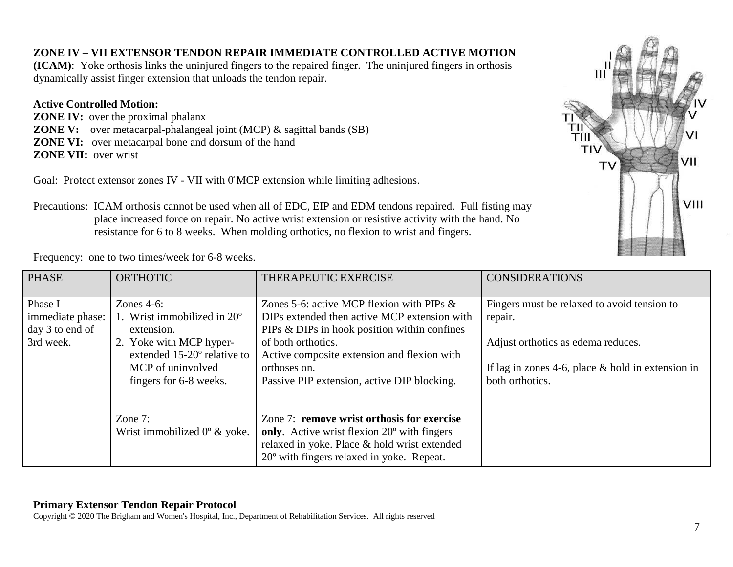# **ZONE IV – VII EXTENSOR TENDON REPAIR IMMEDIATE CONTROLLED ACTIVE MOTION**

**(ICAM)**: Yoke orthosis links the uninjured fingers to the repaired finger. The uninjured fingers in orthosis dynamically assist finger extension that unloads the tendon repair.

# **Active Controlled Motion:**

**ZONE IV:** over the proximal phalanx **ZONE V:** over metacarpal-phalangeal joint (MCP) & sagittal bands (SB) **ZONE VI:** over metacarpal bone and dorsum of the hand **ZONE VII:** over wrist

Goal: Protect extensor zones IV - VII with  $\theta$  MCP extension while limiting adhesions.



Precautions: ICAM orthosis cannot be used when all of EDC, EIP and EDM tendons repaired. Full fisting may place increased force on repair. No active wrist extension or resistive activity with the hand. No resistance for 6 to 8 weeks. When molding orthotics, no flexion to wrist and fingers.

Frequency: one to two times/week for 6-8 weeks.

| <b>PHASE</b>                                                | <b>ORTHOTIC</b>                                                                                                                                                              | THERAPEUTIC EXERCISE                                                                                                                                                                                                                                                             | <b>CONSIDERATIONS</b>                                                                                                                                                  |
|-------------------------------------------------------------|------------------------------------------------------------------------------------------------------------------------------------------------------------------------------|----------------------------------------------------------------------------------------------------------------------------------------------------------------------------------------------------------------------------------------------------------------------------------|------------------------------------------------------------------------------------------------------------------------------------------------------------------------|
| Phase I<br>immediate phase:<br>day 3 to end of<br>3rd week. | Zones $4-6$ :<br>1. Wrist immobilized in $20^{\circ}$<br>extension.<br>2. Yoke with MCP hyper-<br>extended 15-20° relative to<br>MCP of uninvolved<br>fingers for 6-8 weeks. | Zones 5-6: active MCP flexion with PIPs $\&$<br>DIPs extended then active MCP extension with<br>PIPs & DIPs in hook position within confines<br>of both orthotics.<br>Active composite extension and flexion with<br>orthoses on.<br>Passive PIP extension, active DIP blocking. | Fingers must be relaxed to avoid tension to<br>repair.<br>Adjust orthotics as edema reduces.<br>If lag in zones 4-6, place $&$ hold in extension in<br>both orthotics. |
|                                                             | Zone 7:<br>Wrist immobilized $0^{\circ}$ & yoke.                                                                                                                             | Zone 7: remove wrist orthosis for exercise<br>only. Active wrist flexion 20 <sup>°</sup> with fingers<br>relaxed in yoke. Place & hold wrist extended<br>$20^{\circ}$ with fingers relaxed in yoke. Repeat.                                                                      |                                                                                                                                                                        |

# **Primary Extensor Tendon Repair Protocol**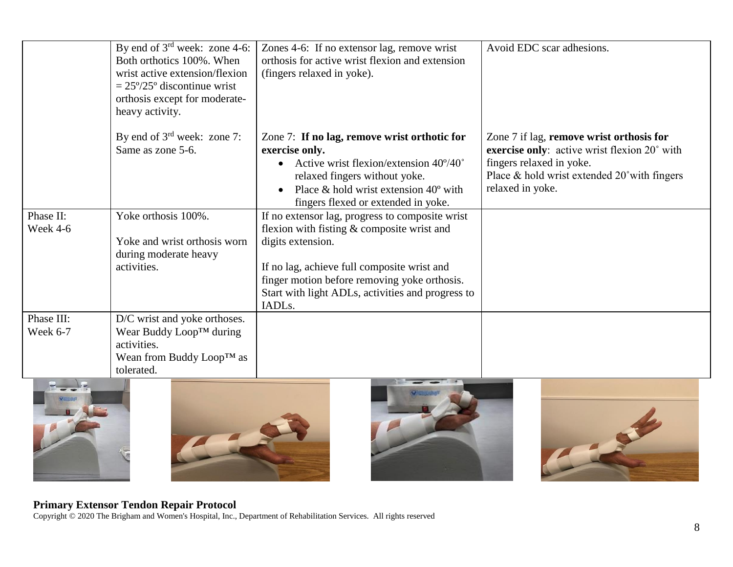|                        | By end of $3^{\text{rd}}$ week: zone 4-6:<br>Both orthotics 100%. When<br>wrist active extension/flexion<br>$= 25\frac{9}{25}$ ° discontinue wrist<br>orthosis except for moderate-<br>heavy activity. | Zones 4-6: If no extensor lag, remove wrist<br>orthosis for active wrist flexion and extension<br>(fingers relaxed in yoke).                                                                                                                                                       | Avoid EDC scar adhesions.                                                                                                                                                                           |
|------------------------|--------------------------------------------------------------------------------------------------------------------------------------------------------------------------------------------------------|------------------------------------------------------------------------------------------------------------------------------------------------------------------------------------------------------------------------------------------------------------------------------------|-----------------------------------------------------------------------------------------------------------------------------------------------------------------------------------------------------|
|                        | By end of $3rd$ week: zone 7:<br>Same as zone 5-6.                                                                                                                                                     | Zone 7: If no lag, remove wrist orthotic for<br>exercise only.<br>Active wrist flexion/extension 40°/40°<br>relaxed fingers without yoke.<br>Place $\&$ hold wrist extension 40 $\degree$ with<br>fingers flexed or extended in yoke.                                              | Zone 7 if lag, remove wrist orthosis for<br>exercise only: active wrist flexion 20° with<br>fingers relaxed in yoke.<br>Place $&$ hold wrist extended $20^{\circ}$ with fingers<br>relaxed in yoke. |
| Phase II:<br>Week 4-6  | Yoke orthosis 100%.<br>Yoke and wrist orthosis worn<br>during moderate heavy<br>activities.                                                                                                            | If no extensor lag, progress to composite wrist<br>flexion with fisting $&$ composite wrist and<br>digits extension.<br>If no lag, achieve full composite wrist and<br>finger motion before removing yoke orthosis.<br>Start with light ADLs, activities and progress to<br>IADLs. |                                                                                                                                                                                                     |
| Phase III:<br>Week 6-7 | D/C wrist and yoke orthoses.<br>Wear Buddy Loop™ during<br>activities.<br>Wean from Buddy Loop <sup>TM</sup> as<br>tolerated.                                                                          |                                                                                                                                                                                                                                                                                    |                                                                                                                                                                                                     |







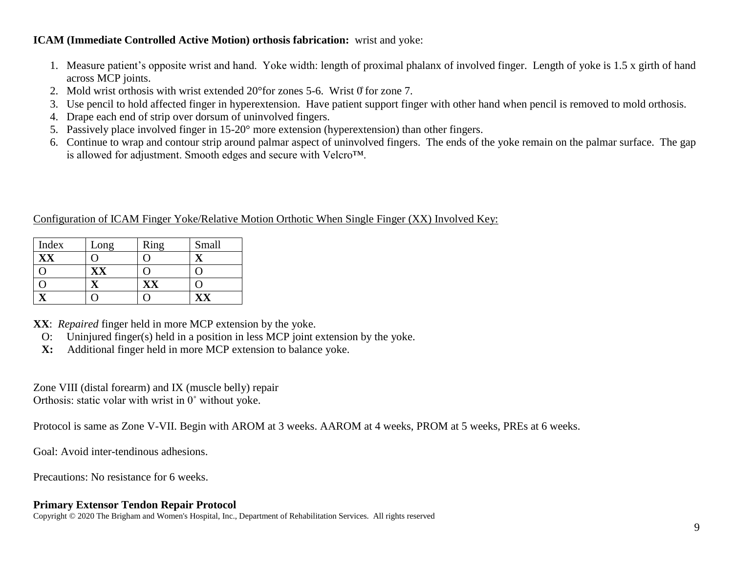## **ICAM (Immediate Controlled Active Motion) orthosis fabrication:** wrist and yoke:

- 1. Measure patient's opposite wrist and hand. Yoke width: length of proximal phalanx of involved finger. Length of yoke is 1.5 x girth of hand across MCP joints.
- 2. Mold wrist orthosis with wrist extended  $20^{\circ}$  for zones 5-6. Wrist 0 for zone 7.
- 3. Use pencil to hold affected finger in hyperextension. Have patient support finger with other hand when pencil is removed to mold orthosis.
- 4. Drape each end of strip over dorsum of uninvolved fingers.
- 5. Passively place involved finger in 15-20° more extension (hyperextension) than other fingers.
- 6. Continue to wrap and contour strip around palmar aspect of uninvolved fingers. The ends of the yoke remain on the palmar surface. The gap is allowed for adjustment. Smooth edges and secure with Velcro™.

## Configuration of ICAM Finger Yoke/Relative Motion Orthotic When Single Finger (XX) Involved Key:

| Index | Long | Ring | Small |
|-------|------|------|-------|
|       |      |      |       |
|       | xх   |      |       |
|       |      |      |       |
|       |      |      |       |

**XX**: *Repaired* finger held in more MCP extension by the yoke.

- O: Uninjured finger(s) held in a position in less MCP joint extension by the yoke.
- **X:** Additional finger held in more MCP extension to balance yoke.

Zone VIII (distal forearm) and IX (muscle belly) repair Orthosis: static volar with wrist in 0˚ without yoke.

Protocol is same as Zone V-VII. Begin with AROM at 3 weeks. AAROM at 4 weeks, PROM at 5 weeks, PREs at 6 weeks.

Goal: Avoid inter-tendinous adhesions.

Precautions: No resistance for 6 weeks.

## **Primary Extensor Tendon Repair Protocol**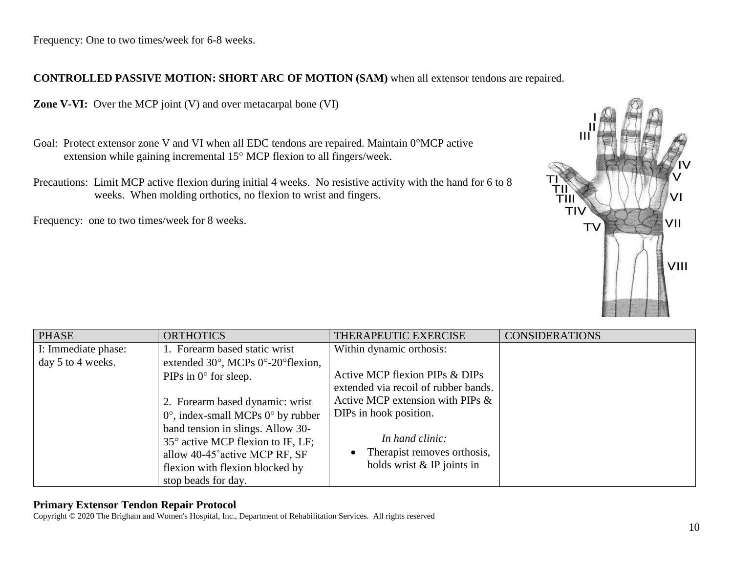Frequency: One to two times/week for 6-8 weeks.

# **CONTROLLED PASSIVE MOTION: SHORT ARC OF MOTION (SAM)** when all extensor tendons are repaired.

**Zone V-VI:** Over the MCP joint (V) and over metacarpal bone (VI)

- Goal: Protect extensor zone V and VI when all EDC tendons are repaired. Maintain  $0^{\circ}$ MCP active extension while gaining incremental 15° MCP flexion to all fingers/week.
- Precautions: Limit MCP active flexion during initial 4 weeks. No resistive activity with the hand for 6 to 8 weeks. When molding orthotics, no flexion to wrist and fingers.

Frequency: one to two times/week for 8 weeks.



| <b>PHASE</b>        | <b>ORTHOTICS</b>                                          | THERAPEUTIC EXERCISE                 | <b>CONSIDERATIONS</b> |
|---------------------|-----------------------------------------------------------|--------------------------------------|-----------------------|
| I: Immediate phase: | 1. Forearm based static wrist                             | Within dynamic orthosis:             |                       |
| day 5 to 4 weeks.   | extended $30^\circ$ , MCPs $0^\circ$ -20 $\circ$ flexion, |                                      |                       |
|                     | PIPs in $0^{\circ}$ for sleep.                            | Active MCP flexion PIPs & DIPs       |                       |
|                     |                                                           | extended via recoil of rubber bands. |                       |
|                     | 2. Forearm based dynamic: wrist                           | Active MCP extension with PIPs $\&$  |                       |
|                     | $0^{\circ}$ , index-small MCPs $0^{\circ}$ by rubber      | DIPs in hook position.               |                       |
|                     | band tension in slings. Allow 30-                         |                                      |                       |
|                     | 35° active MCP flexion to IF, LF;                         | In hand clinic:                      |                       |
|                     | allow 40-45° active MCP RF, SF                            | Therapist removes orthosis,          |                       |
|                     | flexion with flexion blocked by                           | holds wrist $&$ IP joints in         |                       |
|                     | stop beads for day.                                       |                                      |                       |

#### **Primary Extensor Tendon Repair Protocol**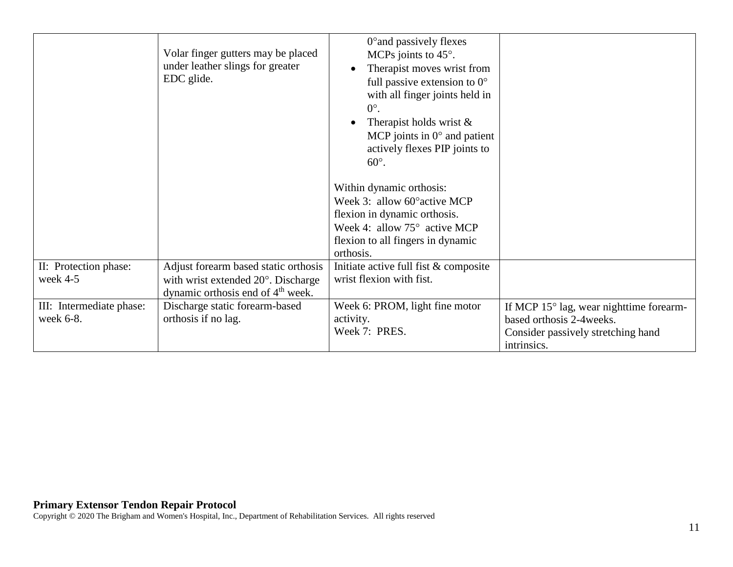|                                       | Volar finger gutters may be placed<br>under leather slings for greater<br>EDC glide.                                        | 0° and passively flexes<br>MCPs joints to 45°.<br>Therapist moves wrist from<br>full passive extension to $0^{\circ}$<br>with all finger joints held in<br>$0^{\circ}$ .<br>Therapist holds wrist $\&$<br>MCP joints in $0^{\circ}$ and patient<br>actively flexes PIP joints to<br>$60^\circ$ . |                                                                                                                           |
|---------------------------------------|-----------------------------------------------------------------------------------------------------------------------------|--------------------------------------------------------------------------------------------------------------------------------------------------------------------------------------------------------------------------------------------------------------------------------------------------|---------------------------------------------------------------------------------------------------------------------------|
|                                       |                                                                                                                             | Within dynamic orthosis:<br>Week 3: allow 60° active MCP<br>flexion in dynamic orthosis.<br>Week 4: allow $75^{\circ}$ active MCP<br>flexion to all fingers in dynamic                                                                                                                           |                                                                                                                           |
| II: Protection phase:<br>week 4-5     | Adjust forearm based static orthosis<br>with wrist extended 20°. Discharge<br>dynamic orthosis end of 4 <sup>th</sup> week. | orthosis.<br>Initiate active full fist & composite<br>wrist flexion with fist.                                                                                                                                                                                                                   |                                                                                                                           |
| III: Intermediate phase:<br>week 6-8. | Discharge static forearm-based<br>orthosis if no lag.                                                                       | Week 6: PROM, light fine motor<br>activity.<br>Week 7: PRES.                                                                                                                                                                                                                                     | If MCP 15° lag, wear nighttime forearm-<br>based orthosis 2-4 weeks.<br>Consider passively stretching hand<br>intrinsics. |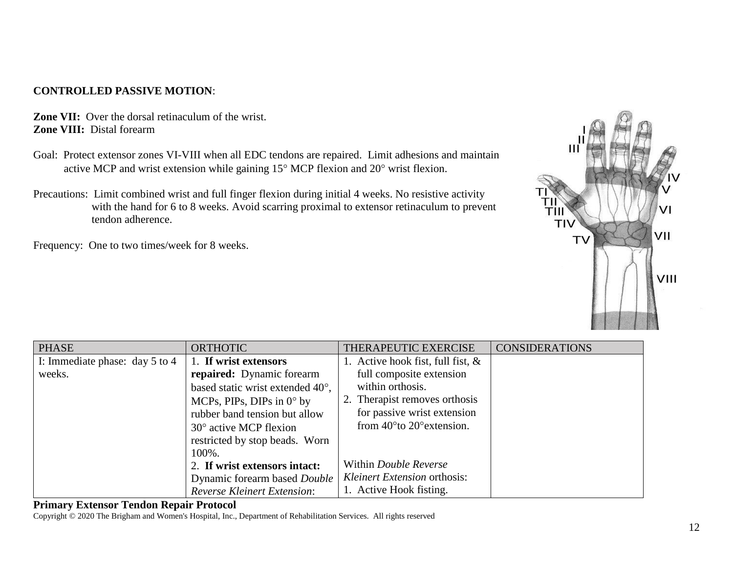# **CONTROLLED PASSIVE MOTION**:

**Zone VII:** Over the dorsal retinaculum of the wrist. **Zone VIII:** Distal forearm

- Goal: Protect extensor zones VI-VIII when all EDC tendons are repaired. Limit adhesions and maintain active MCP and wrist extension while gaining  $15^{\circ}$  MCP flexion and  $20^{\circ}$  wrist flexion.
- Precautions: Limit combined wrist and full finger flexion during initial 4 weeks. No resistive activity with the hand for 6 to 8 weeks. Avoid scarring proximal to extensor retinaculum to prevent tendon adherence.

Frequency: One to two times/week for 8 weeks.



| <b>PHASE</b>                       | <b>ORTHOTIC</b>                    | THERAPEUTIC EXERCISE                         | <b>CONSIDERATIONS</b> |
|------------------------------------|------------------------------------|----------------------------------------------|-----------------------|
| I: Immediate phase: day $5$ to $4$ | 1. If wrist extensors              | 1. Active hook fist, full fist, $\&$         |                       |
| weeks.                             | repaired: Dynamic forearm          | full composite extension                     |                       |
|                                    | based static wrist extended 40°,   | within orthosis.                             |                       |
|                                    | MCPs, PIPs, DIPs in $0^{\circ}$ by | 2. Therapist removes orthosis                |                       |
|                                    | rubber band tension but allow      | for passive wrist extension                  |                       |
|                                    | $30^{\circ}$ active MCP flexion    | from $40^{\circ}$ to $20^{\circ}$ extension. |                       |
|                                    | restricted by stop beads. Worn     |                                              |                       |
|                                    | 100%.                              |                                              |                       |
|                                    | 2. If wrist extensors intact:      | Within <i>Double Reverse</i>                 |                       |
|                                    | Dynamic forearm based Double       | Kleinert Extension orthosis:                 |                       |
|                                    | <b>Reverse Kleinert Extension:</b> | 1. Active Hook fisting.                      |                       |

#### **Primary Extensor Tendon Repair Protocol**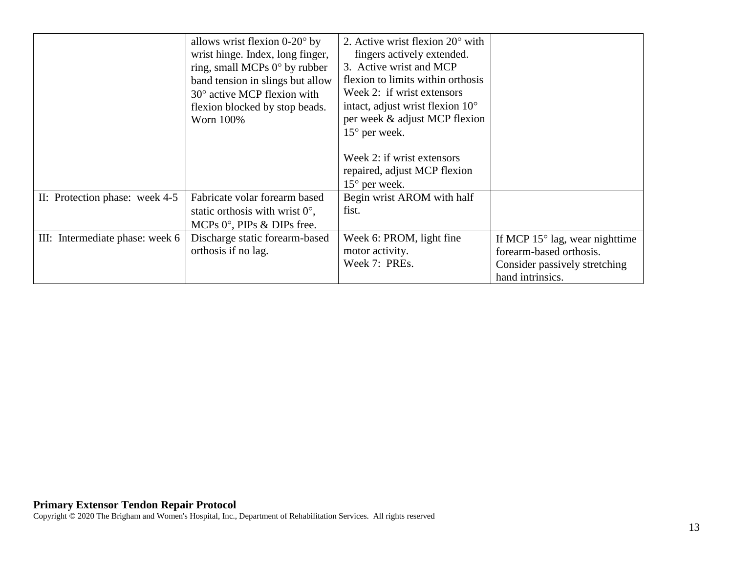|                                 | allows wrist flexion $0-20^\circ$ by<br>wrist hinge. Index, long finger,<br>ring, small MCPs 0° by rubber<br>band tension in slings but allow<br>$30^\circ$ active MCP flexion with<br>flexion blocked by stop beads.<br>Worn 100% | 2. Active wrist flexion $20^{\circ}$ with<br>fingers actively extended.<br>3. Active wrist and MCP<br>flexion to limits within orthosis<br>Week 2: if wrist extensors<br>intact, adjust wrist flexion $10^{\circ}$<br>per week & adjust MCP flexion<br>$15^{\circ}$ per week.<br>Week 2: if wrist extensors<br>repaired, adjust MCP flexion<br>$15^{\circ}$ per week. |                                                                                                                         |
|---------------------------------|------------------------------------------------------------------------------------------------------------------------------------------------------------------------------------------------------------------------------------|-----------------------------------------------------------------------------------------------------------------------------------------------------------------------------------------------------------------------------------------------------------------------------------------------------------------------------------------------------------------------|-------------------------------------------------------------------------------------------------------------------------|
| II: Protection phase: week 4-5  | Fabricate volar forearm based<br>static orthosis with wrist $0^{\circ}$ ,<br>MCPs $0^\circ$ , PIPs & DIPs free.                                                                                                                    | Begin wrist AROM with half<br>fist.                                                                                                                                                                                                                                                                                                                                   |                                                                                                                         |
| III: Intermediate phase: week 6 | Discharge static forearm-based<br>orthosis if no lag.                                                                                                                                                                              | Week 6: PROM, light fine<br>motor activity.<br>Week 7: PREs.                                                                                                                                                                                                                                                                                                          | If MCP $15^{\circ}$ lag, wear nighttime<br>forearm-based orthosis.<br>Consider passively stretching<br>hand intrinsics. |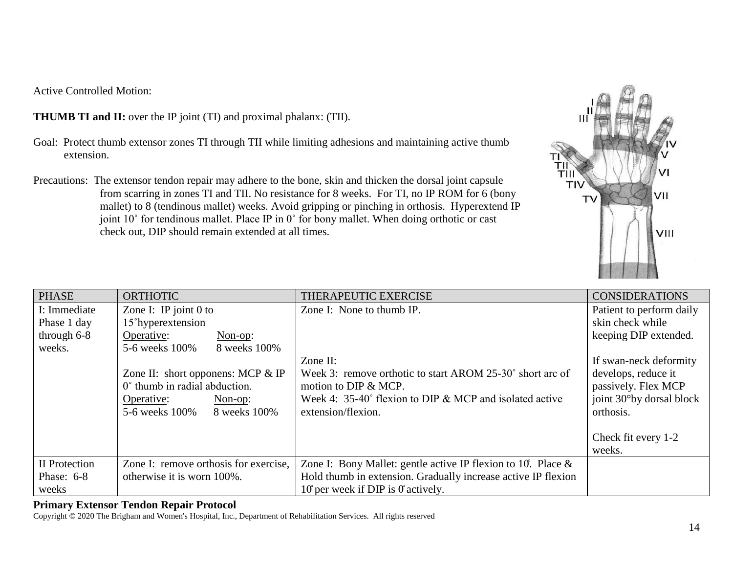Active Controlled Motion:

**THUMB TI and II:** over the IP joint (TI) and proximal phalanx: (TII).

- Goal: Protect thumb extensor zones TI through TII while limiting adhesions and maintaining active thumb extension.
- Precautions: The extensor tendon repair may adhere to the bone, skin and thicken the dorsal joint capsule from scarring in zones TI and TII. No resistance for 8 weeks. For TI, no IP ROM for 6 (bony mallet) to 8 (tendinous mallet) weeks. Avoid gripping or pinching in orthosis. Hyperextend IP joint 10˚ for tendinous mallet. Place IP in 0˚ for bony mallet. When doing orthotic or cast check out, DIP should remain extended at all times.



| <b>PHASE</b>  | <b>ORTHOTIC</b>                       | THERAPEUTIC EXERCISE                                             | <b>CONSIDERATIONS</b>    |
|---------------|---------------------------------------|------------------------------------------------------------------|--------------------------|
| I: Immediate  | Zone I: IP joint $0$ to               | Zone I: None to thumb IP.                                        | Patient to perform daily |
| Phase 1 day   | 15 <sup>°</sup> hyperextension        |                                                                  | skin check while         |
| through $6-8$ | Operative:<br>$Non-op:$               |                                                                  | keeping DIP extended.    |
| weeks.        | 8 weeks 100%<br>5-6 weeks 100%        |                                                                  |                          |
|               |                                       | Zone II:                                                         | If swan-neck deformity   |
|               | Zone II: short opponens: MCP $\&$ IP  | Week 3: remove orthotic to start AROM 25-30° short arc of        | develops, reduce it      |
|               | 0° thumb in radial abduction.         | motion to DIP & MCP.                                             | passively. Flex MCP      |
|               | Operative:<br>Non-op:                 | Week 4: $35-40^{\circ}$ flexion to DIP & MCP and isolated active | joint 30°by dorsal block |
|               | 5-6 weeks 100% 8 weeks 100%           | extension/flexion.                                               | orthosis.                |
|               |                                       |                                                                  |                          |
|               |                                       |                                                                  | Check fit every 1-2      |
|               |                                       |                                                                  | weeks.                   |
| II Protection | Zone I: remove orthosis for exercise, | Zone I: Bony Mallet: gentle active IP flexion to 10. Place $\&$  |                          |
| Phase: $6-8$  | otherwise it is worn 100%.            | Hold thumb in extension. Gradually increase active IP flexion    |                          |
| weeks         |                                       | $10$ per week if DIP is 0 actively.                              |                          |

### **Primary Extensor Tendon Repair Protocol**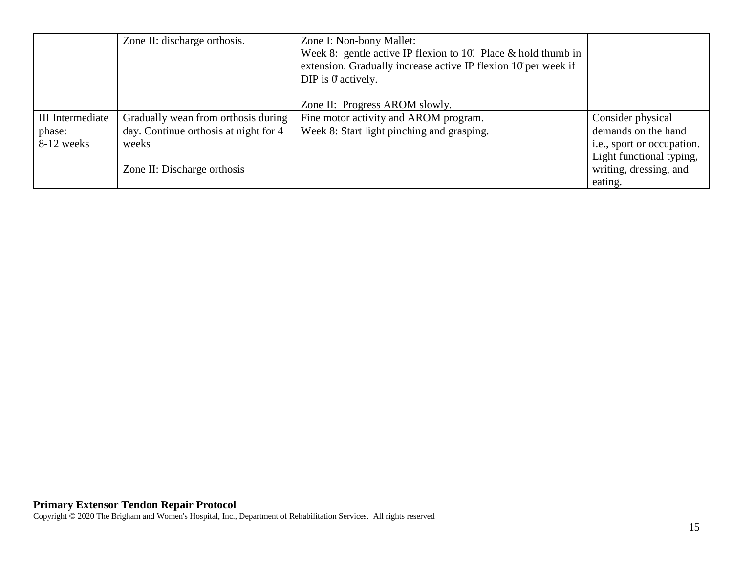|                         | Zone II: discharge orthosis.          | Zone I: Non-bony Mallet:<br>Week 8: gentle active IP flexion to 10. Place $&$ hold thumb in<br>extension. Gradually increase active IP flexion 10 per week if<br>DIP is $0^{\circ}$ actively. |                            |
|-------------------------|---------------------------------------|-----------------------------------------------------------------------------------------------------------------------------------------------------------------------------------------------|----------------------------|
|                         |                                       | Zone II: Progress AROM slowly.                                                                                                                                                                |                            |
| <b>III</b> Intermediate | Gradually wean from orthosis during   | Fine motor activity and AROM program.                                                                                                                                                         | Consider physical          |
| phase:                  | day. Continue orthosis at night for 4 | Week 8: Start light pinching and grasping.                                                                                                                                                    | demands on the hand        |
| 8-12 weeks              | weeks                                 |                                                                                                                                                                                               | i.e., sport or occupation. |
|                         |                                       |                                                                                                                                                                                               | Light functional typing,   |
|                         | Zone II: Discharge orthosis           |                                                                                                                                                                                               | writing, dressing, and     |
|                         |                                       |                                                                                                                                                                                               | eating.                    |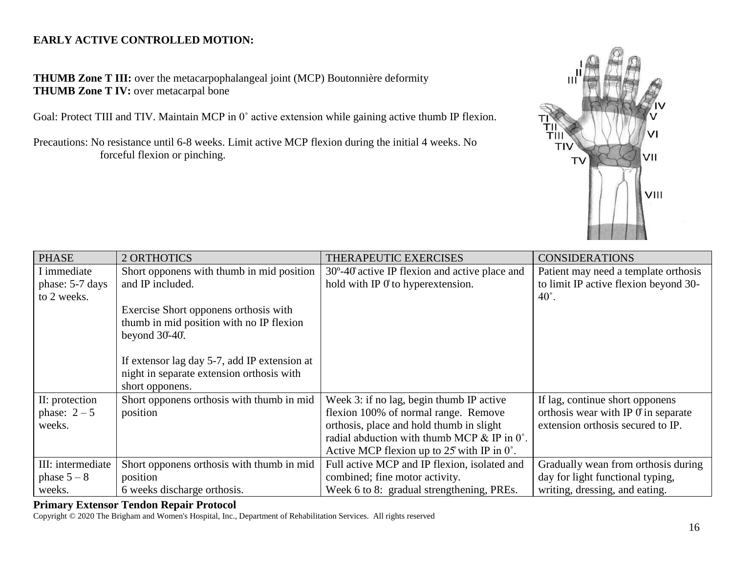# **EARLY ACTIVE CONTROLLED MOTION:**

**THUMB Zone T III:** over the metacarpophalangeal joint (MCP) Boutonnière deformity **THUMB Zone T IV:** over metacarpal bone

Goal: Protect TIII and TIV. Maintain MCP in 0° active extension while gaining active thumb IP flexion.

Precautions: No resistance until 6-8 weeks. Limit active MCP flexion during the initial 4 weeks. No forceful flexion or pinching.



| <b>PHASE</b>      | 2 ORTHOTICS                                  | THERAPEUTIC EXERCISES                                    | <b>CONSIDERATIONS</b>                      |
|-------------------|----------------------------------------------|----------------------------------------------------------|--------------------------------------------|
| I immediate       | Short opponens with thumb in mid position    | $30^{\circ}$ -40° active IP flexion and active place and | Patient may need a template orthosis       |
| phase: 5-7 days   | and IP included.                             | hold with IP $\theta$ to hyperextension.                 | to limit IP active flexion beyond 30-      |
| to 2 weeks.       |                                              |                                                          | $40^\circ$ .                               |
|                   | Exercise Short opponens orthosis with        |                                                          |                                            |
|                   | thumb in mid position with no IP flexion     |                                                          |                                            |
|                   | beyond $30-40$ .                             |                                                          |                                            |
|                   |                                              |                                                          |                                            |
|                   | If extensor lag day 5-7, add IP extension at |                                                          |                                            |
|                   | night in separate extension orthosis with    |                                                          |                                            |
|                   | short opponens.                              |                                                          |                                            |
| II: protection    | Short opponens orthosis with thumb in mid    | Week 3: if no lag, begin thumb IP active                 | If lag, continue short opponens            |
| phase: $2-5$      | position                                     | flexion 100% of normal range. Remove                     | orthosis wear with IP $\theta$ in separate |
| weeks.            |                                              | orthosis, place and hold thumb in slight                 | extension orthosis secured to IP.          |
|                   |                                              | radial abduction with thumb MCP & IP in 0°.              |                                            |
|                   |                                              | Active MCP flexion up to $25$ with IP in $0^{\circ}$ .   |                                            |
| III: intermediate | Short opponens orthosis with thumb in mid    | Full active MCP and IP flexion, isolated and             | Gradually wean from orthosis during        |
| phase $5-8$       | position                                     | combined; fine motor activity.                           | day for light functional typing,           |
| weeks.            | 6 weeks discharge orthosis.                  | Week 6 to 8: gradual strengthening, PREs.                | writing, dressing, and eating.             |

### **Primary Extensor Tendon Repair Protocol**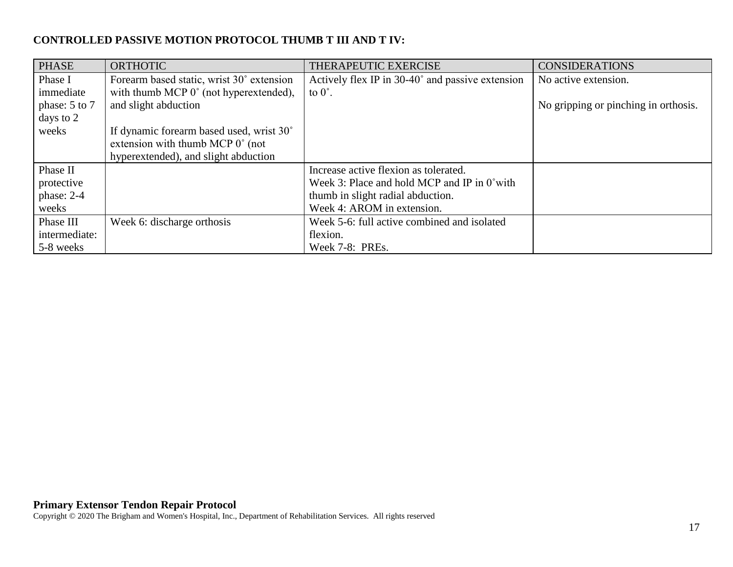# **CONTROLLED PASSIVE MOTION PROTOCOL THUMB T III AND T IV:**

| <b>PHASE</b>  | <b>ORTHOTIC</b>                           | THERAPEUTIC EXERCISE                                  | <b>CONSIDERATIONS</b>                |
|---------------|-------------------------------------------|-------------------------------------------------------|--------------------------------------|
| Phase I       | Forearm based static, wrist 30° extension | Actively flex IP in 30-40° and passive extension      | No active extension.                 |
| immediate     | with thumb MCP 0° (not hyperextended),    | to $0^\circ$ .                                        |                                      |
| phase: 5 to 7 | and slight abduction                      |                                                       | No gripping or pinching in orthosis. |
| days to 2     |                                           |                                                       |                                      |
| weeks         | If dynamic forearm based used, wrist 30°  |                                                       |                                      |
|               | extension with thumb MCP $0^{\circ}$ (not |                                                       |                                      |
|               | hyperextended), and slight abduction      |                                                       |                                      |
| Phase II      |                                           | Increase active flexion as tolerated.                 |                                      |
| protective    |                                           | Week 3: Place and hold MCP and IP in $0^{\circ}$ with |                                      |
| phase: 2-4    |                                           | thumb in slight radial abduction.                     |                                      |
| weeks         |                                           | Week 4: AROM in extension.                            |                                      |
| Phase III     | Week 6: discharge orthosis                | Week 5-6: full active combined and isolated           |                                      |
| intermediate: |                                           | flexion.                                              |                                      |
| 5-8 weeks     |                                           | Week 7-8: PREs.                                       |                                      |

#### **Primary Extensor Tendon Repair Protocol**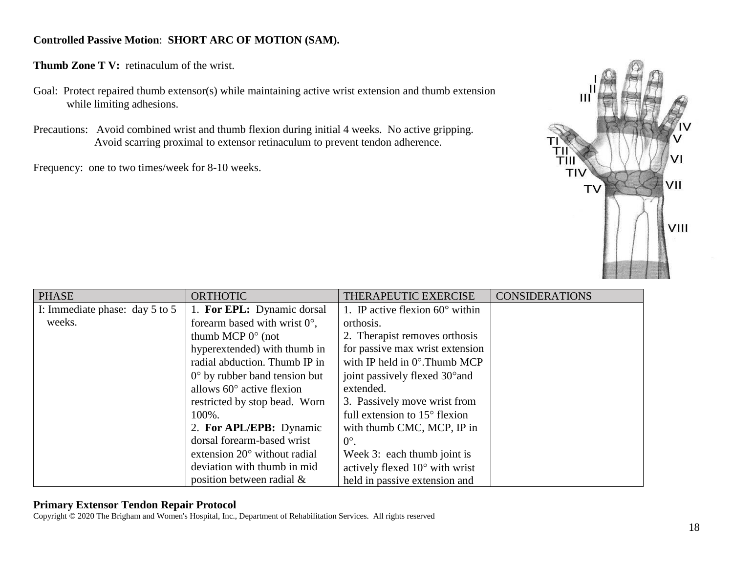## **Controlled Passive Motion**: **SHORT ARC OF MOTION (SAM).**

**Thumb Zone T V:** retinaculum of the wrist.

- Goal: Protect repaired thumb extensor(s) while maintaining active wrist extension and thumb extension while limiting adhesions.
- Precautions: Avoid combined wrist and thumb flexion during initial 4 weeks. No active gripping. Avoid scarring proximal to extensor retinaculum to prevent tendon adherence.

Frequency: one to two times/week for 8-10 weeks.



| <b>PHASE</b>                       | <b>ORTHOTIC</b><br>THERAPEUTIC EXERCISE |                                          | <b>CONSIDERATIONS</b> |
|------------------------------------|-----------------------------------------|------------------------------------------|-----------------------|
| I: Immediate phase: day $5$ to $5$ | 1. For EPL: Dynamic dorsal              | 1. IP active flexion $60^{\circ}$ within |                       |
| weeks.                             | forearm based with wrist $0^{\circ}$ ,  | orthosis.                                |                       |
|                                    | thumb MCP $0^{\circ}$ (not              | 2. Therapist removes orthosis            |                       |
|                                    | hyperextended) with thumb in            | for passive max wrist extension          |                       |
|                                    | radial abduction. Thumb IP in           | with IP held in $0^\circ$ . Thumb MCP    |                       |
|                                    | $0^{\circ}$ by rubber band tension but  | joint passively flexed 30° and           |                       |
|                                    | allows $60^\circ$ active flexion        | extended.                                |                       |
|                                    | restricted by stop bead. Worn           | 3. Passively move wrist from             |                       |
|                                    | 100%.                                   | full extension to $15^{\circ}$ flexion   |                       |
|                                    | 2. For APL/EPB: Dynamic                 | with thumb CMC, MCP, IP in               |                       |
|                                    | dorsal forearm-based wrist              | $0^{\circ}$ .                            |                       |
|                                    | extension $20^{\circ}$ without radial   | Week 3: each thumb joint is              |                       |
|                                    | deviation with thumb in mid             | actively flexed 10° with wrist           |                       |
|                                    | position between radial $\&$            | held in passive extension and            |                       |

## **Primary Extensor Tendon Repair Protocol**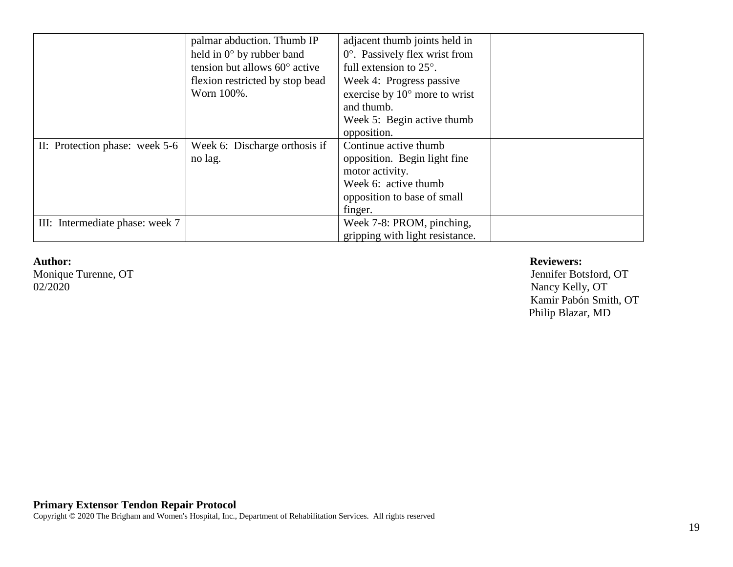|                                 | palmar abduction. Thumb IP             | adjacent thumb joints held in          |  |
|---------------------------------|----------------------------------------|----------------------------------------|--|
|                                 |                                        |                                        |  |
|                                 | held in $0^{\circ}$ by rubber band     | $0^\circ$ . Passively flex wrist from  |  |
|                                 | tension but allows $60^{\circ}$ active | full extension to $25^\circ$ .         |  |
|                                 | flexion restricted by stop bead        | Week 4: Progress passive               |  |
|                                 | Worn 100%.                             | exercise by $10^{\circ}$ more to wrist |  |
|                                 |                                        | and thumb.                             |  |
|                                 |                                        | Week 5: Begin active thumb             |  |
|                                 |                                        | opposition.                            |  |
| II: Protection phase: week 5-6  | Week 6: Discharge orthosis if          | Continue active thumb                  |  |
|                                 | no lag.                                | opposition. Begin light fine           |  |
|                                 |                                        | motor activity.                        |  |
|                                 |                                        | Week 6: active thumb                   |  |
|                                 |                                        | opposition to base of small            |  |
|                                 |                                        | finger.                                |  |
| III: Intermediate phase: week 7 |                                        | Week 7-8: PROM, pinching,              |  |
|                                 |                                        | gripping with light resistance.        |  |

02/2020 Nancy Kelly, OT

#### **Author: Reviewers:**

Monique Turenne, OT Jennifer Botsford, OT Kamir Pabón Smith, OT Philip Blazar, MD

#### **Primary Extensor Tendon Repair Protocol**